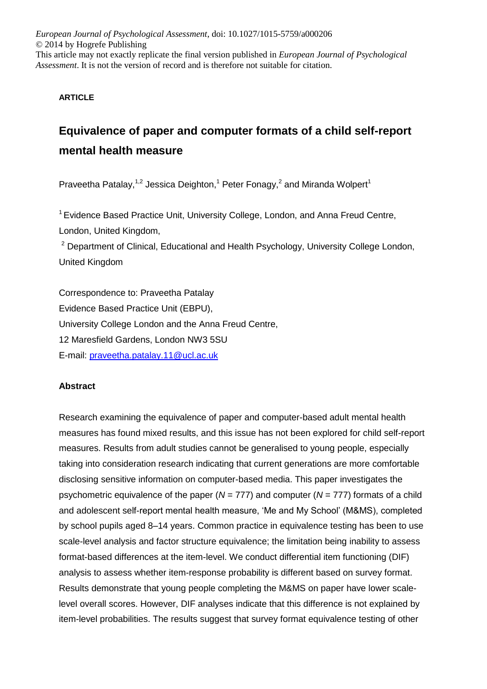*European Journal of Psychological Assessment*, doi: 10.1027/1015-5759/a000206 © 2014 by Hogrefe Publishing This article may not exactly replicate the final version published in *European Journal of Psychological Assessment*. It is not the version of record and is therefore not suitable for citation.

## **ARTICLE**

# **Equivalence of paper and computer formats of a child self-report mental health measure**

Praveetha Patalay,<sup>1,2</sup> Jessica Deighton,<sup>1</sup> Peter Fonagy,<sup>2</sup> and Miranda Wolpert<sup>1</sup>

<sup>1</sup> Evidence Based Practice Unit, University College, London, and Anna Freud Centre, London, United Kingdom,

<sup>2</sup> Department of Clinical, Educational and Health Psychology, University College London, United Kingdom

Correspondence to: Praveetha Patalay Evidence Based Practice Unit (EBPU), University College London and the Anna Freud Centre, 12 Maresfield Gardens, London NW3 5SU E-mail: [praveetha.patalay.11@ucl.ac.uk](mailto:praveetha.patalay.11@ucl.ac.uk)

## **Abstract**

Research examining the equivalence of paper and computer-based adult mental health measures has found mixed results, and this issue has not been explored for child self-report measures. Results from adult studies cannot be generalised to young people, especially taking into consideration research indicating that current generations are more comfortable disclosing sensitive information on computer-based media. This paper investigates the psychometric equivalence of the paper (*N* = 777) and computer (*N* = 777) formats of a child and adolescent self-report mental health measure, 'Me and My School' (M&MS), completed by school pupils aged 8–14 years. Common practice in equivalence testing has been to use scale-level analysis and factor structure equivalence; the limitation being inability to assess format-based differences at the item-level. We conduct differential item functioning (DIF) analysis to assess whether item-response probability is different based on survey format. Results demonstrate that young people completing the M&MS on paper have lower scalelevel overall scores. However, DIF analyses indicate that this difference is not explained by item-level probabilities. The results suggest that survey format equivalence testing of other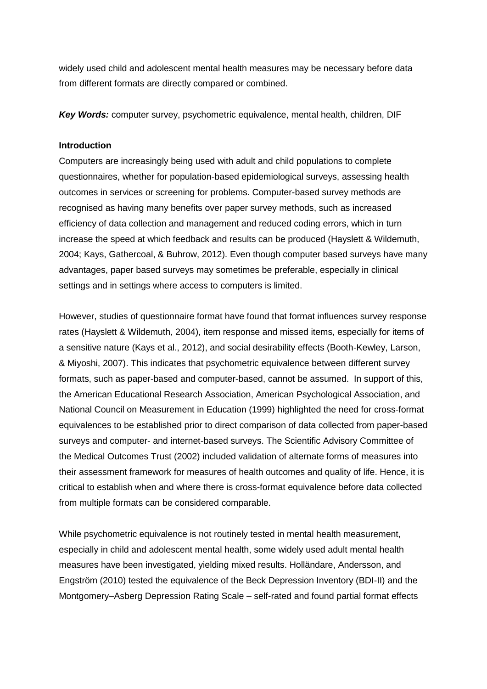widely used child and adolescent mental health measures may be necessary before data from different formats are directly compared or combined.

*Key Words:* computer survey, psychometric equivalence, mental health, children, DIF

#### **Introduction**

Computers are increasingly being used with adult and child populations to complete questionnaires, whether for population-based epidemiological surveys, assessing health outcomes in services or screening for problems. Computer-based survey methods are recognised as having many benefits over paper survey methods, such as increased efficiency of data collection and management and reduced coding errors, which in turn increase the speed at which feedback and results can be produced (Hayslett & Wildemuth, 2004; Kays, Gathercoal, & Buhrow, 2012). Even though computer based surveys have many advantages, paper based surveys may sometimes be preferable, especially in clinical settings and in settings where access to computers is limited.

However, studies of questionnaire format have found that format influences survey response rates (Hayslett & Wildemuth, 2004), item response and missed items, especially for items of a sensitive nature (Kays et al., 2012), and social desirability effects (Booth-Kewley, Larson, & Miyoshi, 2007). This indicates that psychometric equivalence between different survey formats, such as paper-based and computer-based, cannot be assumed. In support of this, the American Educational Research Association, American Psychological Association, and National Council on Measurement in Education (1999) highlighted the need for cross-format equivalences to be established prior to direct comparison of data collected from paper-based surveys and computer- and internet-based surveys. The Scientific Advisory Committee of the Medical Outcomes Trust (2002) included validation of alternate forms of measures into their assessment framework for measures of health outcomes and quality of life. Hence, it is critical to establish when and where there is cross-format equivalence before data collected from multiple formats can be considered comparable.

While psychometric equivalence is not routinely tested in mental health measurement, especially in child and adolescent mental health, some widely used adult mental health measures have been investigated, yielding mixed results. Holländare, Andersson, and Engström (2010) tested the equivalence of the Beck Depression Inventory (BDI-II) and the Montgomery–Asberg Depression Rating Scale – self-rated and found partial format effects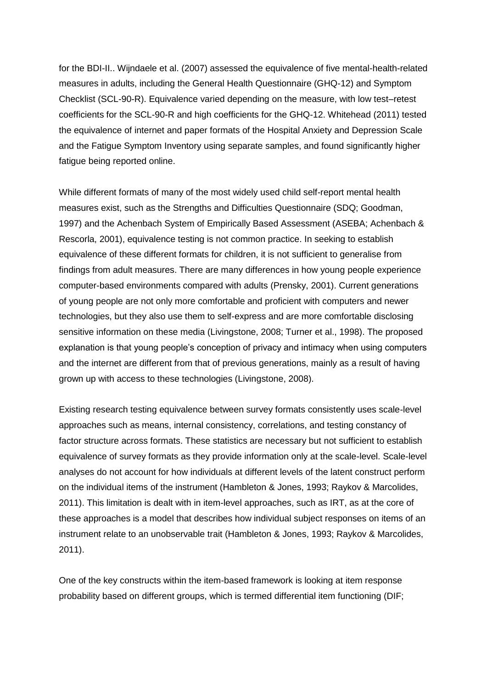for the BDI-II.. Wijndaele et al. (2007) assessed the equivalence of five mental-health-related measures in adults, including the General Health Questionnaire (GHQ-12) and Symptom Checklist (SCL-90-R). Equivalence varied depending on the measure, with low test–retest coefficients for the SCL-90-R and high coefficients for the GHQ-12. Whitehead (2011) tested the equivalence of internet and paper formats of the Hospital Anxiety and Depression Scale and the Fatigue Symptom Inventory using separate samples, and found significantly higher fatigue being reported online.

While different formats of many of the most widely used child self-report mental health measures exist, such as the Strengths and Difficulties Questionnaire (SDQ; Goodman, 1997) and the Achenbach System of Empirically Based Assessment (ASEBA; Achenbach & Rescorla, 2001), equivalence testing is not common practice. In seeking to establish equivalence of these different formats for children, it is not sufficient to generalise from findings from adult measures. There are many differences in how young people experience computer-based environments compared with adults (Prensky, 2001). Current generations of young people are not only more comfortable and proficient with computers and newer technologies, but they also use them to self-express and are more comfortable disclosing sensitive information on these media (Livingstone, 2008; Turner et al., 1998). The proposed explanation is that young people's conception of privacy and intimacy when using computers and the internet are different from that of previous generations, mainly as a result of having grown up with access to these technologies (Livingstone, 2008).

Existing research testing equivalence between survey formats consistently uses scale-level approaches such as means, internal consistency, correlations, and testing constancy of factor structure across formats. These statistics are necessary but not sufficient to establish equivalence of survey formats as they provide information only at the scale-level. Scale-level analyses do not account for how individuals at different levels of the latent construct perform on the individual items of the instrument (Hambleton & Jones, 1993; Raykov & Marcolides, 2011). This limitation is dealt with in item-level approaches, such as IRT, as at the core of these approaches is a model that describes how individual subject responses on items of an instrument relate to an unobservable trait (Hambleton & Jones, 1993; Raykov & Marcolides, 2011).

One of the key constructs within the item-based framework is looking at item response probability based on different groups, which is termed differential item functioning (DIF;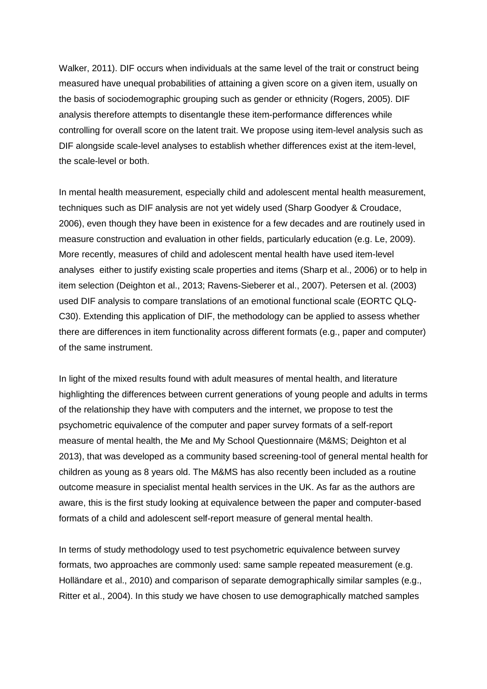Walker, 2011). DIF occurs when individuals at the same level of the trait or construct being measured have unequal probabilities of attaining a given score on a given item, usually on the basis of sociodemographic grouping such as gender or ethnicity (Rogers, 2005). DIF analysis therefore attempts to disentangle these item-performance differences while controlling for overall score on the latent trait. We propose using item-level analysis such as DIF alongside scale-level analyses to establish whether differences exist at the item-level, the scale-level or both.

In mental health measurement, especially child and adolescent mental health measurement, techniques such as DIF analysis are not yet widely used (Sharp Goodyer & Croudace, 2006), even though they have been in existence for a few decades and are routinely used in measure construction and evaluation in other fields, particularly education (e.g. Le, 2009). More recently, measures of child and adolescent mental health have used item-level analyses either to justify existing scale properties and items (Sharp et al., 2006) or to help in item selection (Deighton et al., 2013; Ravens-Sieberer et al., 2007). Petersen et al. (2003) used DIF analysis to compare translations of an emotional functional scale (EORTC QLQ-C30). Extending this application of DIF, the methodology can be applied to assess whether there are differences in item functionality across different formats (e.g., paper and computer) of the same instrument.

In light of the mixed results found with adult measures of mental health, and literature highlighting the differences between current generations of young people and adults in terms of the relationship they have with computers and the internet, we propose to test the psychometric equivalence of the computer and paper survey formats of a self-report measure of mental health, the Me and My School Questionnaire (M&MS; Deighton et al 2013), that was developed as a community based screening-tool of general mental health for children as young as 8 years old. The M&MS has also recently been included as a routine outcome measure in specialist mental health services in the UK. As far as the authors are aware, this is the first study looking at equivalence between the paper and computer-based formats of a child and adolescent self-report measure of general mental health.

In terms of study methodology used to test psychometric equivalence between survey formats, two approaches are commonly used: same sample repeated measurement (e.g. Holländare et al., 2010) and comparison of separate demographically similar samples (e.g., Ritter et al., 2004). In this study we have chosen to use demographically matched samples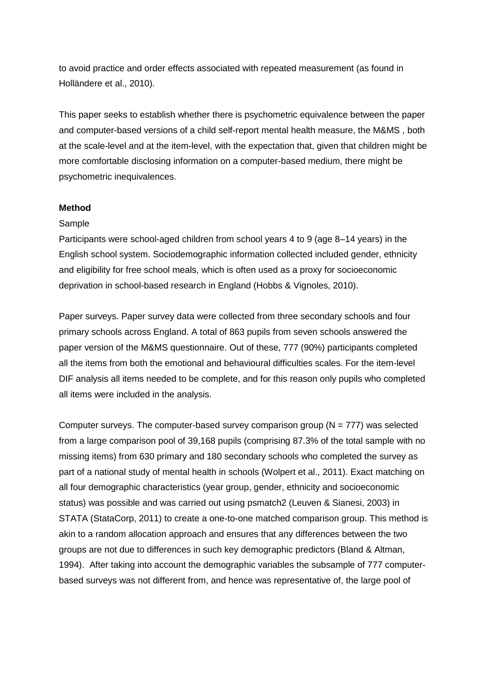to avoid practice and order effects associated with repeated measurement (as found in Holländere et al., 2010).

This paper seeks to establish whether there is psychometric equivalence between the paper and computer-based versions of a child self-report mental health measure, the M&MS , both at the scale-level and at the item-level, with the expectation that, given that children might be more comfortable disclosing information on a computer-based medium, there might be psychometric inequivalences.

#### **Method**

#### Sample

Participants were school-aged children from school years 4 to 9 (age 8–14 years) in the English school system. Sociodemographic information collected included gender, ethnicity and eligibility for free school meals, which is often used as a proxy for socioeconomic deprivation in school-based research in England (Hobbs & Vignoles, 2010).

Paper surveys. Paper survey data were collected from three secondary schools and four primary schools across England. A total of 863 pupils from seven schools answered the paper version of the M&MS questionnaire. Out of these, 777 (90%) participants completed all the items from both the emotional and behavioural difficulties scales. For the item-level DIF analysis all items needed to be complete, and for this reason only pupils who completed all items were included in the analysis.

Computer surveys. The computer-based survey comparison group  $(N = 777)$  was selected from a large comparison pool of 39,168 pupils (comprising 87.3% of the total sample with no missing items) from 630 primary and 180 secondary schools who completed the survey as part of a national study of mental health in schools (Wolpert et al., 2011). Exact matching on all four demographic characteristics (year group, gender, ethnicity and socioeconomic status) was possible and was carried out using psmatch2 (Leuven & Sianesi, 2003) in STATA (StataCorp, 2011) to create a one-to-one matched comparison group. This method is akin to a random allocation approach and ensures that any differences between the two groups are not due to differences in such key demographic predictors (Bland & Altman, 1994). After taking into account the demographic variables the subsample of 777 computerbased surveys was not different from, and hence was representative of, the large pool of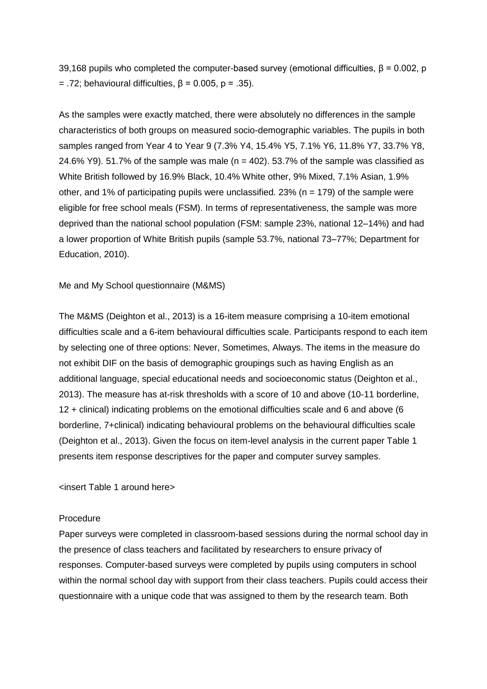39,168 pupils who completed the computer-based survey (emotional difficulties,  $\beta$  = 0.002, p = .72; behavioural difficulties,  $β = 0.005$ ,  $p = .35$ ).

As the samples were exactly matched, there were absolutely no differences in the sample characteristics of both groups on measured socio-demographic variables. The pupils in both samples ranged from Year 4 to Year 9 (7.3% Y4, 15.4% Y5, 7.1% Y6, 11.8% Y7, 33.7% Y8, 24.6% Y9). 51.7% of the sample was male ( $n = 402$ ). 53.7% of the sample was classified as White British followed by 16.9% Black, 10.4% White other, 9% Mixed, 7.1% Asian, 1.9% other, and 1% of participating pupils were unclassified. 23% ( $n = 179$ ) of the sample were eligible for free school meals (FSM). In terms of representativeness, the sample was more deprived than the national school population (FSM: sample 23%, national 12–14%) and had a lower proportion of White British pupils (sample 53.7%, national 73–77%; Department for Education, 2010).

Me and My School questionnaire (M&MS)

The M&MS (Deighton et al., 2013) is a 16-item measure comprising a 10-item emotional difficulties scale and a 6-item behavioural difficulties scale. Participants respond to each item by selecting one of three options: Never, Sometimes, Always. The items in the measure do not exhibit DIF on the basis of demographic groupings such as having English as an additional language, special educational needs and socioeconomic status (Deighton et al., 2013). The measure has at-risk thresholds with a score of 10 and above (10-11 borderline, 12 + clinical) indicating problems on the emotional difficulties scale and 6 and above (6 borderline, 7+clinical) indicating behavioural problems on the behavioural difficulties scale (Deighton et al., 2013). Given the focus on item-level analysis in the current paper Table 1 presents item response descriptives for the paper and computer survey samples.

<insert Table 1 around here>

#### Procedure

Paper surveys were completed in classroom-based sessions during the normal school day in the presence of class teachers and facilitated by researchers to ensure privacy of responses. Computer-based surveys were completed by pupils using computers in school within the normal school day with support from their class teachers. Pupils could access their questionnaire with a unique code that was assigned to them by the research team. Both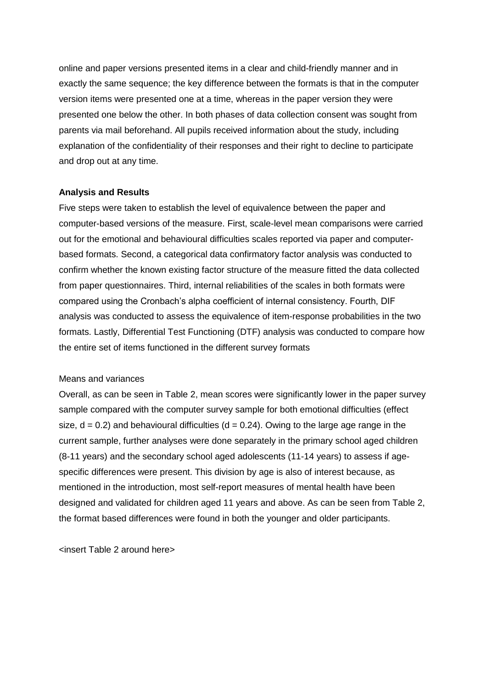online and paper versions presented items in a clear and child-friendly manner and in exactly the same sequence; the key difference between the formats is that in the computer version items were presented one at a time, whereas in the paper version they were presented one below the other. In both phases of data collection consent was sought from parents via mail beforehand. All pupils received information about the study, including explanation of the confidentiality of their responses and their right to decline to participate and drop out at any time.

#### **Analysis and Results**

Five steps were taken to establish the level of equivalence between the paper and computer-based versions of the measure. First, scale-level mean comparisons were carried out for the emotional and behavioural difficulties scales reported via paper and computerbased formats. Second, a categorical data confirmatory factor analysis was conducted to confirm whether the known existing factor structure of the measure fitted the data collected from paper questionnaires. Third, internal reliabilities of the scales in both formats were compared using the Cronbach's alpha coefficient of internal consistency. Fourth, DIF analysis was conducted to assess the equivalence of item-response probabilities in the two formats. Lastly, Differential Test Functioning (DTF) analysis was conducted to compare how the entire set of items functioned in the different survey formats

#### Means and variances

Overall, as can be seen in Table 2, mean scores were significantly lower in the paper survey sample compared with the computer survey sample for both emotional difficulties (effect size,  $d = 0.2$ ) and behavioural difficulties ( $d = 0.24$ ). Owing to the large age range in the current sample, further analyses were done separately in the primary school aged children (8-11 years) and the secondary school aged adolescents (11-14 years) to assess if agespecific differences were present. This division by age is also of interest because, as mentioned in the introduction, most self-report measures of mental health have been designed and validated for children aged 11 years and above. As can be seen from Table 2, the format based differences were found in both the younger and older participants.

<insert Table 2 around here>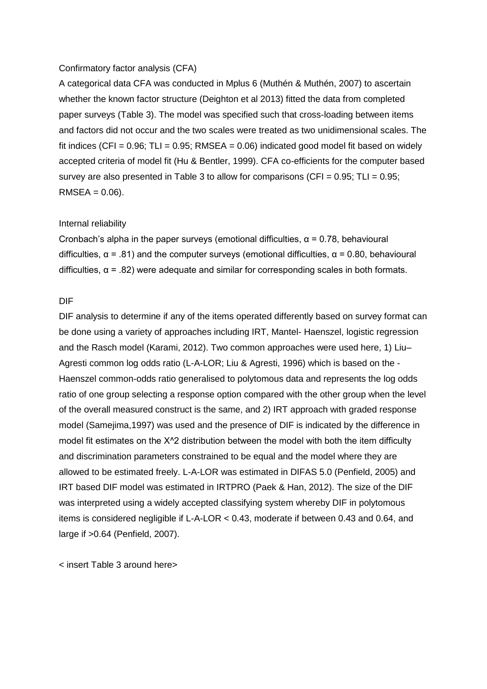#### Confirmatory factor analysis (CFA)

A categorical data CFA was conducted in Mplus 6 (Muthén & Muthén, 2007) to ascertain whether the known factor structure (Deighton et al 2013) fitted the data from completed paper surveys (Table 3). The model was specified such that cross-loading between items and factors did not occur and the two scales were treated as two unidimensional scales. The fit indices (CFI =  $0.96$ ; TLI =  $0.95$ ; RMSEA =  $0.06$ ) indicated good model fit based on widely accepted criteria of model fit (Hu & Bentler, 1999). CFA co-efficients for the computer based survey are also presented in Table 3 to allow for comparisons (CFI =  $0.95$ ; TLI =  $0.95$ ;  $RMSEA = 0.06$ ).

#### Internal reliability

Cronbach's alpha in the paper surveys (emotional difficulties,  $\alpha$  = 0.78, behavioural difficulties,  $\alpha$  = .81) and the computer surveys (emotional difficulties,  $\alpha$  = 0.80, behavioural difficulties,  $\alpha$  = .82) were adequate and similar for corresponding scales in both formats.

#### DIF

DIF analysis to determine if any of the items operated differently based on survey format can be done using a variety of approaches including IRT, Mantel- Haenszel, logistic regression and the Rasch model (Karami, 2012). Two common approaches were used here, 1) Liu– Agresti common log odds ratio (L-A-LOR; Liu & Agresti, 1996) which is based on the - Haenszel common-odds ratio generalised to polytomous data and represents the log odds ratio of one group selecting a response option compared with the other group when the level of the overall measured construct is the same, and 2) IRT approach with graded response model (Samejima,1997) was used and the presence of DIF is indicated by the difference in model fit estimates on the Χ^2 distribution between the model with both the item difficulty and discrimination parameters constrained to be equal and the model where they are allowed to be estimated freely. L-A-LOR was estimated in DIFAS 5.0 (Penfield, 2005) and IRT based DIF model was estimated in IRTPRO (Paek & Han, 2012). The size of the DIF was interpreted using a widely accepted classifying system whereby DIF in polytomous items is considered negligible if L-A-LOR < 0.43, moderate if between 0.43 and 0.64, and large if >0.64 (Penfield, 2007).

< insert Table 3 around here>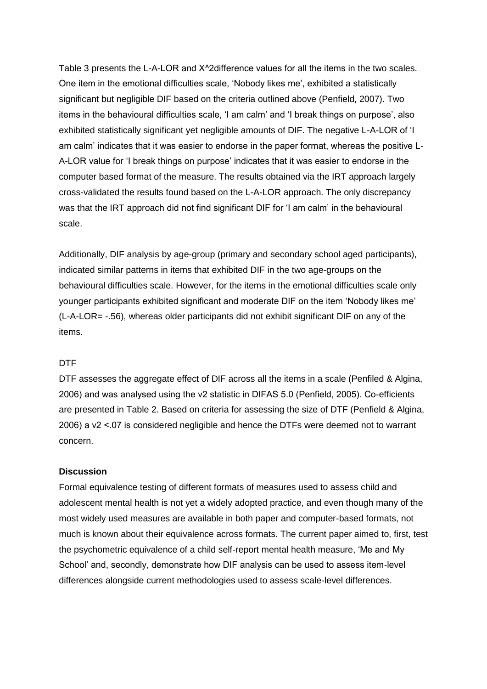Table 3 presents the L-A-LOR and Χ^2difference values for all the items in the two scales. One item in the emotional difficulties scale, 'Nobody likes me', exhibited a statistically significant but negligible DIF based on the criteria outlined above (Penfield, 2007). Two items in the behavioural difficulties scale, 'I am calm' and 'I break things on purpose', also exhibited statistically significant yet negligible amounts of DIF. The negative L-A-LOR of 'I am calm' indicates that it was easier to endorse in the paper format, whereas the positive L-A-LOR value for 'I break things on purpose' indicates that it was easier to endorse in the computer based format of the measure. The results obtained via the IRT approach largely cross-validated the results found based on the L-A-LOR approach. The only discrepancy was that the IRT approach did not find significant DIF for 'I am calm' in the behavioural scale.

Additionally, DIF analysis by age-group (primary and secondary school aged participants), indicated similar patterns in items that exhibited DIF in the two age-groups on the behavioural difficulties scale. However, for the items in the emotional difficulties scale only younger participants exhibited significant and moderate DIF on the item 'Nobody likes me' (L-A-LOR= -.56), whereas older participants did not exhibit significant DIF on any of the items.

#### DTF

DTF assesses the aggregate effect of DIF across all the items in a scale (Penfiled & Algina, 2006) and was analysed using the ν2 statistic in DIFAS 5.0 (Penfield, 2005). Co-efficients are presented in Table 2. Based on criteria for assessing the size of DTF (Penfield & Algina, 2006) a ν2 <.07 is considered negligible and hence the DTFs were deemed not to warrant concern.

#### **Discussion**

Formal equivalence testing of different formats of measures used to assess child and adolescent mental health is not yet a widely adopted practice, and even though many of the most widely used measures are available in both paper and computer-based formats, not much is known about their equivalence across formats. The current paper aimed to, first, test the psychometric equivalence of a child self-report mental health measure, 'Me and My School' and, secondly, demonstrate how DIF analysis can be used to assess item-level differences alongside current methodologies used to assess scale-level differences.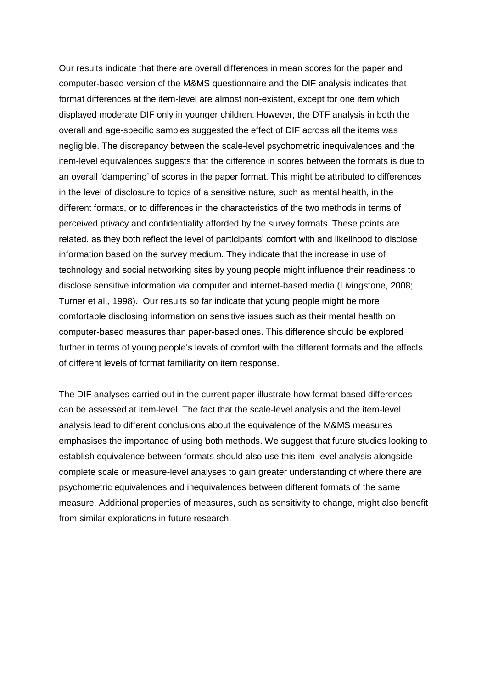Our results indicate that there are overall differences in mean scores for the paper and computer-based version of the M&MS questionnaire and the DIF analysis indicates that format differences at the item-level are almost non-existent, except for one item which displayed moderate DIF only in younger children. However, the DTF analysis in both the overall and age-specific samples suggested the effect of DIF across all the items was negligible. The discrepancy between the scale-level psychometric inequivalences and the item-level equivalences suggests that the difference in scores between the formats is due to an overall 'dampening' of scores in the paper format. This might be attributed to differences in the level of disclosure to topics of a sensitive nature, such as mental health, in the different formats, or to differences in the characteristics of the two methods in terms of perceived privacy and confidentiality afforded by the survey formats. These points are related, as they both reflect the level of participants' comfort with and likelihood to disclose information based on the survey medium. They indicate that the increase in use of technology and social networking sites by young people might influence their readiness to disclose sensitive information via computer and internet-based media (Livingstone, 2008; Turner et al., 1998). Our results so far indicate that young people might be more comfortable disclosing information on sensitive issues such as their mental health on computer-based measures than paper-based ones. This difference should be explored further in terms of young people's levels of comfort with the different formats and the effects of different levels of format familiarity on item response.

The DIF analyses carried out in the current paper illustrate how format-based differences can be assessed at item-level. The fact that the scale-level analysis and the item-level analysis lead to different conclusions about the equivalence of the M&MS measures emphasises the importance of using both methods. We suggest that future studies looking to establish equivalence between formats should also use this item-level analysis alongside complete scale or measure-level analyses to gain greater understanding of where there are psychometric equivalences and inequivalences between different formats of the same measure. Additional properties of measures, such as sensitivity to change, might also benefit from similar explorations in future research.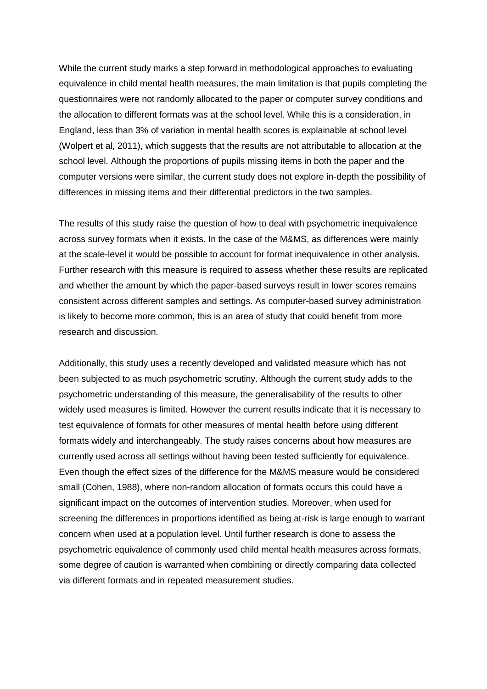While the current study marks a step forward in methodological approaches to evaluating equivalence in child mental health measures, the main limitation is that pupils completing the questionnaires were not randomly allocated to the paper or computer survey conditions and the allocation to different formats was at the school level. While this is a consideration, in England, less than 3% of variation in mental health scores is explainable at school level (Wolpert et al, 2011), which suggests that the results are not attributable to allocation at the school level. Although the proportions of pupils missing items in both the paper and the computer versions were similar, the current study does not explore in-depth the possibility of differences in missing items and their differential predictors in the two samples.

The results of this study raise the question of how to deal with psychometric inequivalence across survey formats when it exists. In the case of the M&MS, as differences were mainly at the scale-level it would be possible to account for format inequivalence in other analysis. Further research with this measure is required to assess whether these results are replicated and whether the amount by which the paper-based surveys result in lower scores remains consistent across different samples and settings. As computer-based survey administration is likely to become more common, this is an area of study that could benefit from more research and discussion.

Additionally, this study uses a recently developed and validated measure which has not been subjected to as much psychometric scrutiny. Although the current study adds to the psychometric understanding of this measure, the generalisability of the results to other widely used measures is limited. However the current results indicate that it is necessary to test equivalence of formats for other measures of mental health before using different formats widely and interchangeably. The study raises concerns about how measures are currently used across all settings without having been tested sufficiently for equivalence. Even though the effect sizes of the difference for the M&MS measure would be considered small (Cohen, 1988), where non-random allocation of formats occurs this could have a significant impact on the outcomes of intervention studies. Moreover, when used for screening the differences in proportions identified as being at-risk is large enough to warrant concern when used at a population level. Until further research is done to assess the psychometric equivalence of commonly used child mental health measures across formats, some degree of caution is warranted when combining or directly comparing data collected via different formats and in repeated measurement studies.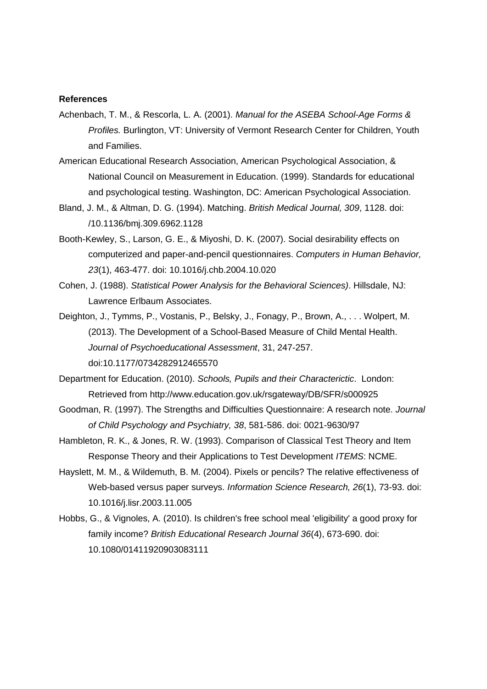#### **References**

- Achenbach, T. M., & Rescorla, L. A. (2001). *Manual for the ASEBA School-Age Forms & Profiles.* Burlington, VT: University of Vermont Research Center for Children, Youth and Families.
- American Educational Research Association, American Psychological Association, & National Council on Measurement in Education. (1999). Standards for educational and psychological testing. Washington, DC: American Psychological Association.
- Bland, J. M., & Altman, D. G. (1994). Matching. *British Medical Journal, 309*, 1128. doi: /10.1136/bmj.309.6962.1128
- Booth-Kewley, S., Larson, G. E., & Miyoshi, D. K. (2007). Social desirability effects on computerized and paper-and-pencil questionnaires. *Computers in Human Behavior, 23*(1), 463-477. doi: 10.1016/j.chb.2004.10.020
- Cohen, J. (1988). *Statistical Power Analysis for the Behavioral Sciences)*. Hillsdale, NJ: Lawrence Erlbaum Associates.
- Deighton, J., Tymms, P., Vostanis, P., Belsky, J., Fonagy, P., Brown, A., . . . Wolpert, M. (2013). The Development of a School-Based Measure of Child Mental Health. *Journal of Psychoeducational Assessment*, 31, 247-257. doi:10.1177/0734282912465570
- Department for Education. (2010). *Schools, Pupils and their Characterictic*. London: Retrieved from http://www.education.gov.uk/rsgateway/DB/SFR/s000925
- Goodman, R. (1997). The Strengths and Difficulties Questionnaire: A research note. *Journal of Child Psychology and Psychiatry, 38*, 581-586. doi: 0021-9630/97
- Hambleton, R. K., & Jones, R. W. (1993). Comparison of Classical Test Theory and Item Response Theory and their Applications to Test Development *ITEMS*: NCME.
- Hayslett, M. M., & Wildemuth, B. M. (2004). Pixels or pencils? The relative effectiveness of Web-based versus paper surveys. *Information Science Research, 26*(1), 73-93. doi: 10.1016/j.lisr.2003.11.005
- Hobbs, G., & Vignoles, A. (2010). Is children's free school meal 'eligibility' a good proxy for family income? *British Educational Research Journal 36*(4), 673-690. doi: 10.1080/01411920903083111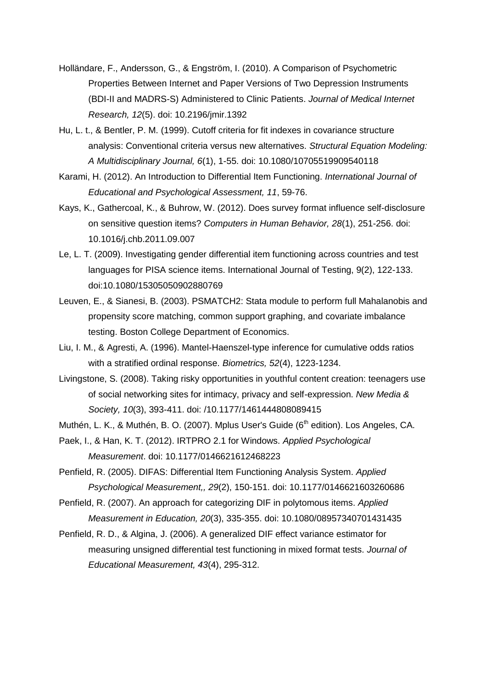- Holländare, F., Andersson, G., & Engström, I. (2010). A Comparison of Psychometric Properties Between Internet and Paper Versions of Two Depression Instruments (BDI-II and MADRS-S) Administered to Clinic Patients. *Journal of Medical Internet Research, 12*(5). doi: 10.2196/jmir.1392
- Hu, L. t., & Bentler, P. M. (1999). Cutoff criteria for fit indexes in covariance structure analysis: Conventional criteria versus new alternatives. *Structural Equation Modeling: A Multidisciplinary Journal, 6*(1), 1-55. doi: 10.1080/10705519909540118
- Karami, H. (2012). An Introduction to Differential Item Functioning. *International Journal of Educational and Psychological Assessment, 11*, 59-76.
- Kays, K., Gathercoal, K., & Buhrow, W. (2012). Does survey format influence self-disclosure on sensitive question items? *Computers in Human Behavior, 28*(1), 251-256. doi: 10.1016/j.chb.2011.09.007
- Le, L. T. (2009). Investigating gender differential item functioning across countries and test languages for PISA science items. International Journal of Testing, 9(2), 122-133. doi:10.1080/15305050902880769
- Leuven, E., & Sianesi, B. (2003). PSMATCH2: Stata module to perform full Mahalanobis and propensity score matching, common support graphing, and covariate imbalance testing. Boston College Department of Economics.
- Liu, I. M., & Agresti, A. (1996). Mantel-Haenszel-type inference for cumulative odds ratios with a stratified ordinal response. *Biometrics, 52*(4), 1223-1234.
- Livingstone, S. (2008). Taking risky opportunities in youthful content creation: teenagers use of social networking sites for intimacy, privacy and self-expression. *New Media & Society, 10*(3), 393-411. doi: /10.1177/1461444808089415

Muthén, L. K., & Muthén, B. O. (2007). Mplus User's Guide (6<sup>th</sup> edition). Los Angeles, CA.

- Paek, I., & Han, K. T. (2012). IRTPRO 2.1 for Windows. *Applied Psychological Measurement*. doi: 10.1177/0146621612468223
- Penfield, R. (2005). DIFAS: Differential Item Functioning Analysis System. *Applied Psychological Measurement,, 29*(2), 150-151. doi: 10.1177/0146621603260686
- Penfield, R. (2007). An approach for categorizing DIF in polytomous items. *Applied Measurement in Education, 20*(3), 335-355. doi: 10.1080/08957340701431435
- Penfield, R. D., & Algina, J. (2006). A generalized DIF effect variance estimator for measuring unsigned differential test functioning in mixed format tests. *Journal of Educational Measurement, 43*(4), 295-312.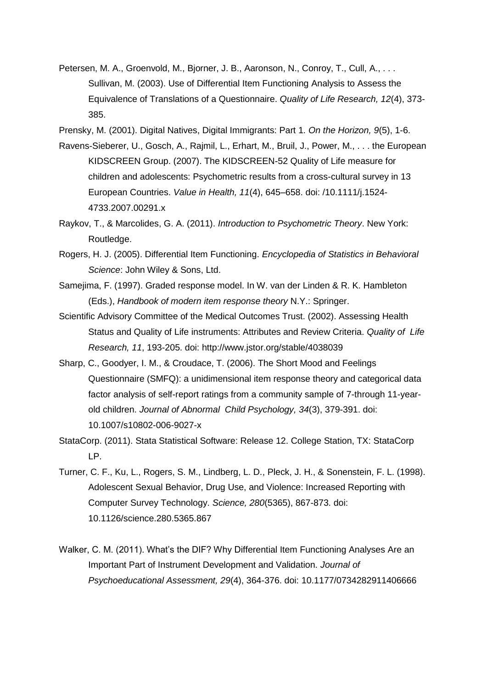- Petersen, M. A., Groenvold, M., Bjorner, J. B., Aaronson, N., Conroy, T., Cull, A., . . . Sullivan, M. (2003). Use of Differential Item Functioning Analysis to Assess the Equivalence of Translations of a Questionnaire. *Quality of Life Research, 12*(4), 373- 385.
- Prensky, M. (2001). Digital Natives, Digital Immigrants: Part 1. *On the Horizon, 9*(5), 1-6.
- Ravens-Sieberer, U., Gosch, A., Rajmil, L., Erhart, M., Bruil, J., Power, M., . . . the European KIDSCREEN Group. (2007). The KIDSCREEN-52 Quality of Life measure for children and adolescents: Psychometric results from a cross-cultural survey in 13 European Countries. *Value in Health, 11*(4), 645–658. doi: /10.1111/j.1524- 4733.2007.00291.x
- Raykov, T., & Marcolides, G. A. (2011). *Introduction to Psychometric Theory*. New York: Routledge.
- Rogers, H. J. (2005). Differential Item Functioning. *Encyclopedia of Statistics in Behavioral Science*: John Wiley & Sons, Ltd.
- Samejima, F. (1997). Graded response model. In W. van der Linden & R. K. Hambleton (Eds.), *Handbook of modern item response theory* N.Y.: Springer.
- Scientific Advisory Committee of the Medical Outcomes Trust. (2002). Assessing Health Status and Quality of Life instruments: Attributes and Review Criteria. *Quality of Life Research, 11*, 193-205. doi: http://www.jstor.org/stable/4038039
- Sharp, C., Goodyer, I. M., & Croudace, T. (2006). The Short Mood and Feelings Questionnaire (SMFQ): a unidimensional item response theory and categorical data factor analysis of self-report ratings from a community sample of 7-through 11-yearold children. *Journal of Abnormal Child Psychology, 34*(3), 379-391. doi: 10.1007/s10802-006-9027-x
- StataCorp. (2011). Stata Statistical Software: Release 12. College Station, TX: StataCorp LP.
- Turner, C. F., Ku, L., Rogers, S. M., Lindberg, L. D., Pleck, J. H., & Sonenstein, F. L. (1998). Adolescent Sexual Behavior, Drug Use, and Violence: Increased Reporting with Computer Survey Technology. *Science, 280*(5365), 867-873. doi: 10.1126/science.280.5365.867
- Walker, C. M. (2011). What's the DIF? Why Differential Item Functioning Analyses Are an Important Part of Instrument Development and Validation. *Journal of Psychoeducational Assessment, 29*(4), 364-376. doi: 10.1177/0734282911406666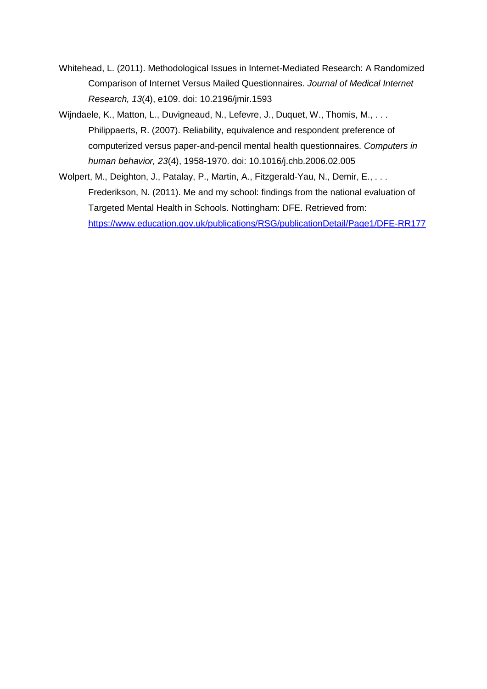- Whitehead, L. (2011). Methodological Issues in Internet-Mediated Research: A Randomized Comparison of Internet Versus Mailed Questionnaires. *Journal of Medical Internet Research, 13*(4), e109. doi: 10.2196/jmir.1593
- Wijndaele, K., Matton, L., Duvigneaud, N., Lefevre, J., Duquet, W., Thomis, M., . . . Philippaerts, R. (2007). Reliability, equivalence and respondent preference of computerized versus paper-and-pencil mental health questionnaires. *Computers in human behavior, 23*(4), 1958-1970. doi: 10.1016/j.chb.2006.02.005
- Wolpert, M., Deighton, J., Patalay, P., Martin, A., Fitzgerald-Yau, N., Demir, E., ... Frederikson, N. (2011). Me and my school: findings from the national evaluation of Targeted Mental Health in Schools. Nottingham: DFE. Retrieved from: <https://www.education.gov.uk/publications/RSG/publicationDetail/Page1/DFE-RR177>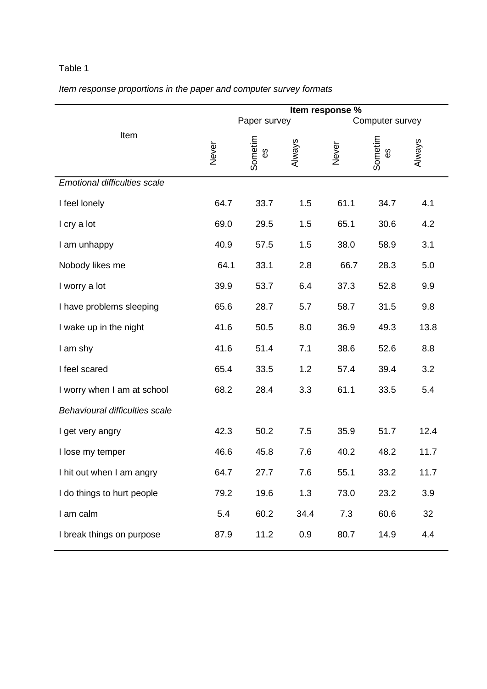## Table 1

## *Item response proportions in the paper and computer survey formats*

|                                     | Item response % |               |        |                 |               |        |
|-------------------------------------|-----------------|---------------|--------|-----------------|---------------|--------|
|                                     | Paper survey    |               |        | Computer survey |               |        |
| Item                                | Never           | Sometim<br>ΘS | Always | Never           | Sometim<br>ΘS | Always |
| <b>Emotional difficulties scale</b> |                 |               |        |                 |               |        |
| I feel lonely                       | 64.7            | 33.7          | 1.5    | 61.1            | 34.7          | 4.1    |
| I cry a lot                         | 69.0            | 29.5          | 1.5    | 65.1            | 30.6          | 4.2    |
| I am unhappy                        | 40.9            | 57.5          | 1.5    | 38.0            | 58.9          | 3.1    |
| Nobody likes me                     | 64.1            | 33.1          | 2.8    | 66.7            | 28.3          | 5.0    |
| I worry a lot                       | 39.9            | 53.7          | 6.4    | 37.3            | 52.8          | 9.9    |
| I have problems sleeping            | 65.6            | 28.7          | 5.7    | 58.7            | 31.5          | 9.8    |
| I wake up in the night              | 41.6            | 50.5          | 8.0    | 36.9            | 49.3          | 13.8   |
| I am shy                            | 41.6            | 51.4          | 7.1    | 38.6            | 52.6          | 8.8    |
| I feel scared                       | 65.4            | 33.5          | 1.2    | 57.4            | 39.4          | 3.2    |
| I worry when I am at school         | 68.2            | 28.4          | 3.3    | 61.1            | 33.5          | 5.4    |
| Behavioural difficulties scale      |                 |               |        |                 |               |        |
| I get very angry                    | 42.3            | 50.2          | 7.5    | 35.9            | 51.7          | 12.4   |
| I lose my temper                    | 46.6            | 45.8          | 7.6    | 40.2            | 48.2          | 11.7   |
| I hit out when I am angry           | 64.7            | 27.7          | 7.6    | 55.1            | 33.2          | 11.7   |
| I do things to hurt people          | 79.2            | 19.6          | 1.3    | 73.0            | 23.2          | 3.9    |
| I am calm                           | 5.4             | 60.2          | 34.4   | 7.3             | 60.6          | 32     |
| I break things on purpose           | 87.9            | 11.2          | 0.9    | 80.7            | 14.9          | 4.4    |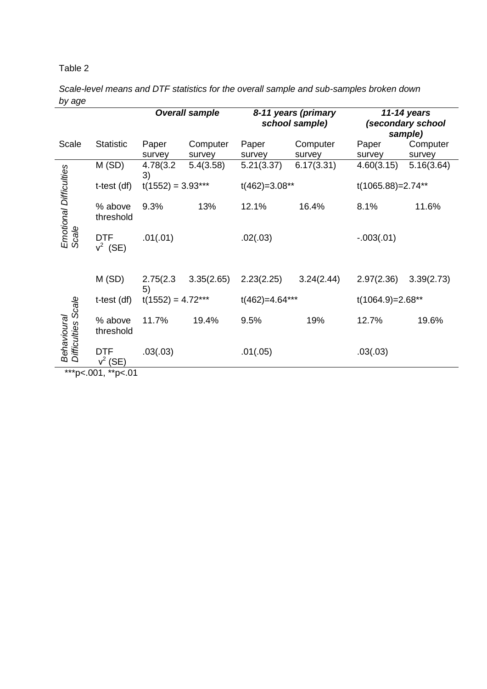## Table 2

*Scale-level means and DTF statistics for the overall sample and sub-samples broken down by age*

|                                             |                          |                     | <b>Overall sample</b> | 8-11 years (primary<br>school sample) |            | 11-14 years<br>(secondary school<br>sample) |            |  |
|---------------------------------------------|--------------------------|---------------------|-----------------------|---------------------------------------|------------|---------------------------------------------|------------|--|
| Scale                                       | <b>Statistic</b>         | Paper               | Computer              | Paper                                 | Computer   | Paper                                       | Computer   |  |
|                                             |                          | survey              | survey                | survey                                | survey     | survey                                      | survey     |  |
| <b>Emotional Difficulties</b><br>Scale      | M(SD)                    | 4.78(3.2)<br>3)     | 5.4(3.58)             | 5.21(3.37)                            | 6.17(3.31) | 4.60(3.15)                                  | 5.16(3.64) |  |
|                                             | t-test (df)              | $t(1552) = 3.93***$ |                       | $t(462)=3.08**$                       |            | t(1065.88)=2.74**                           |            |  |
|                                             | % above<br>threshold     | 9.3%                | 13%                   | 12.1%                                 | 16.4%      | 8.1%                                        | 11.6%      |  |
|                                             | <b>DTF</b><br>$v^2$ (SE) | .01(.01)            |                       | .02(.03)                              |            | $-.003(.01)$                                |            |  |
|                                             | M(SD)                    | 2.75(2.3)<br>5)     | 3.35(2.65)            | 2.23(2.25)                            | 3.24(2.44) | 2.97(2.36)                                  | 3.39(2.73) |  |
| Scale<br>Behavioural<br><b>Difficulties</b> | t-test (df)              | $t(1552) = 4.72***$ |                       | $t(462)=4.64***$                      |            | $t(1064.9)=2.68**$                          |            |  |
|                                             | % above<br>threshold     | 11.7%               | 19.4%                 | 9.5%                                  | 19%        | 12.7%                                       | 19.6%      |  |
|                                             | DTF<br>$v^2$<br>(SE)     | .03(.03)            |                       | .01(.05)                              |            | .03(.03)                                    |            |  |
|                                             | ***p<.001, **p<.01       |                     |                       |                                       |            |                                             |            |  |